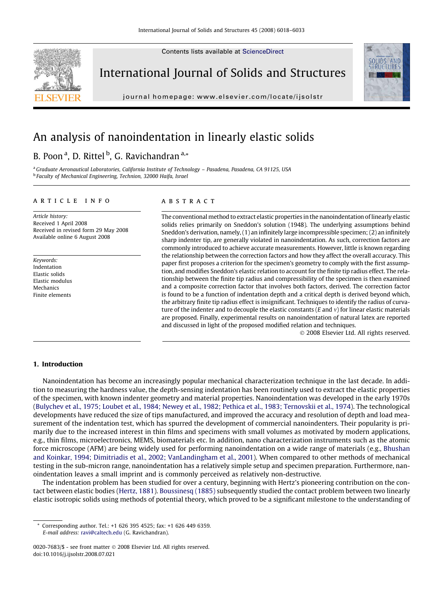Contents lists available at [ScienceDirect](http://www.sciencedirect.com/science/journal/00207683)



International Journal of Solids and Structures

journal homepage: [www.elsevier.com/locate/ijsolstr](http://www.elsevier.com/locate/ijsolstr)



# An analysis of nanoindentation in linearly elastic solids

# B. Poon<sup>a</sup>, D. Rittel <sup>b</sup>, G. Ravichandran <sup>a,\*</sup>

<sup>a</sup> Graduate Aeronautical Laboratories, California Institute of Technology - Pasadena, Pasadena, CA 91125, USA <sup>b</sup> Faculty of Mechanical Engineering, Technion, 32000 Haifa, Israel

#### article info

Article history: Received 1 April 2008 Received in revised form 29 May 2008 Available online 6 August 2008

Keywords: Indentation Elastic solids Elastic modulus **Mechanics** Finite elements

#### **ABSTRACT**

The conventional method to extract elastic properties in the nanoindentation of linearly elastic solids relies primarily on Sneddon's solution (1948). The underlying assumptions behind Sneddon's derivation, namely, (1) an infinitely large incompressible specimen; (2) an infinitely sharp indenter tip, are generally violated in nanoindentation. As such, correction factors are commonly introduced to achieve accurate measurements. However, little is known regarding the relationship between the correction factors and how they affect the overall accuracy. This paper first proposes a criterion for the specimen's geometry to comply with the first assumption, and modifies Sneddon's elastic relation to account for the finite tip radius effect. The relationship between the finite tip radius and compressibility of the specimen is then examined and a composite correction factor that involves both factors, derived. The correction factor is found to be a function of indentation depth and a critical depth is derived beyond which, the arbitrary finite tip radius effect is insignificant. Techniques to identify the radius of curvature of the indenter and to decouple the elastic constants ( $E$  and  $v$ ) for linear elastic materials are proposed. Finally, experimental results on nanoindentation of natural latex are reported and discussed in light of the proposed modified relation and techniques.

- 2008 Elsevier Ltd. All rights reserved.

### 1. Introduction

Nanoindentation has become an increasingly popular mechanical characterization technique in the last decade. In addition to measuring the hardness value, the depth-sensing indentation has been routinely used to extract the elastic properties of the specimen, with known indenter geometry and material properties. Nanoindentation was developed in the early 1970s [\(Bulychev et al., 1975; Loubet et al., 1984; Newey et al., 1982; Pethica et al., 1983; Ternovskii et al., 1974](#page-15-0)). The technological developments have reduced the size of tips manufactured, and improved the accuracy and resolution of depth and load measurement of the indentation test, which has spurred the development of commercial nanoindenters. Their popularity is primarily due to the increased interest in thin films and specimens with small volumes as motivated by modern applications, e.g., thin films, microelectronics, MEMS, biomaterials etc. In addition, nano characterization instruments such as the atomic force microscope (AFM) are being widely used for performing nanoindentation on a wide range of materials (e.g., [Bhushan](#page-15-0) [and Koinkar, 1994; Dimitriadis et al., 2002; VanLandingham et al., 2001\)](#page-15-0). When compared to other methods of mechanical testing in the sub-micron range, nanoindentation has a relatively simple setup and specimen preparation. Furthermore, nanoindentation leaves a small imprint and is commonly perceived as relatively non-destructive.

The indentation problem has been studied for over a century, beginning with Hertz's pioneering contribution on the contact between elastic bodies [\(Hertz, 1881\)](#page-15-0). [Boussinesq \(1885\)](#page-15-0) subsequently studied the contact problem between two linearly elastic isotropic solids using methods of potential theory, which proved to be a significant milestone to the understanding of

<sup>\*</sup> Corresponding author. Tel.: +1 626 395 4525; fax: +1 626 449 6359. E-mail address: [ravi@caltech.edu](mailto:ravi@caltech.edu) (G. Ravichandran).

<sup>0020-7683/\$ -</sup> see front matter © 2008 Elsevier Ltd. All rights reserved. doi:10.1016/j.ijsolstr.2008.07.021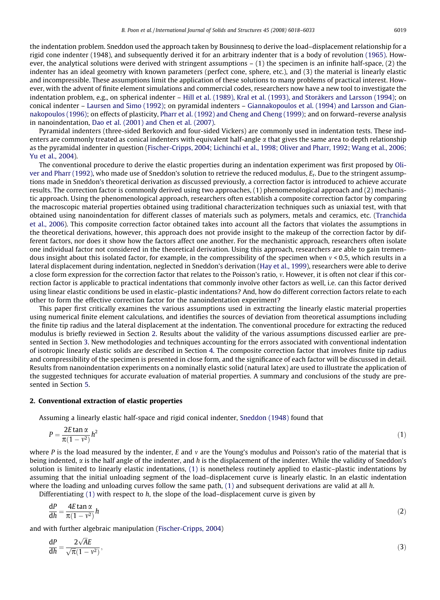<span id="page-1-0"></span>the indentation problem. Sneddon used the approach taken by Bousinnesq to derive the load–displacement relationship for a rigid cone indenter (1948), and subsequently derived it for an arbitrary indenter that is a body of revolution [\(1965\).](#page-15-0) However, the analytical solutions were derived with stringent assumptions  $- (1)$  the specimen is an infinite half-space, (2) the indenter has an ideal geometry with known parameters (perfect cone, sphere, etc.), and (3) the material is linearly elastic and incompressible. These assumptions limit the application of these solutions to many problems of practical interest. However, with the advent of finite element simulations and commercial codes, researchers now have a new tool to investigate the indentation problem, e.g., on spherical indenter – [Hill et al. \(1989\), Kral et al. \(1993\), and Storåkers and Larsson \(1994\)](#page-15-0); on conical indenter – [Laursen and Simo \(1992\);](#page-15-0) on pyramidal indenters – [Giannakopoulos et al. \(1994\) and Larsson and Gian](#page-15-0)[nakopoulos \(1996\)](#page-15-0); on effects of plasticity, [Pharr et al. \(1992\) and Cheng and Cheng \(1999\)](#page-15-0); and on forward–reverse analysis in nanoindentation, [Dao et al. \(2001\) and Chen et al. \(2007\).](#page-15-0)

Pyramidal indenters (three-sided Berkovich and four-sided Vickers) are commonly used in indentation tests. These indenters are commonly treated as conical indenters with equivalent half-angle  $\alpha$  that gives the same area to depth relationship as the pyramidal indenter in question ([Fischer-Cripps, 2004; Lichinchi et al., 1998; Oliver and Pharr, 1992; Wang et al., 2006;](#page-15-0) [Yu et al., 2004\)](#page-15-0).

The conventional procedure to derive the elastic properties during an indentation experiment was first proposed by [Oli](#page-15-0)[ver and Pharr \(1992\),](#page-15-0) who made use of Sneddon's solution to retrieve the reduced modulus, Er. Due to the stringent assumptions made in Sneddon's theoretical derivation as discussed previously, a correction factor is introduced to achieve accurate results. The correction factor is commonly derived using two approaches, (1) phenomenological approach and (2) mechanistic approach. Using the phenomenological approach, researchers often establish a composite correction factor by comparing the macroscopic material properties obtained using traditional characterization techniques such as uniaxial test, with that obtained using nanoindentation for different classes of materials such as polymers, metals and ceramics, etc. ([Tranchida](#page-15-0) [et al., 2006\)](#page-15-0). This composite correction factor obtained takes into account all the factors that violates the assumptions in the theoretical derivations, however, this approach does not provide insight to the makeup of the correction factor by different factors, nor does it show how the factors affect one another. For the mechanistic approach, researchers often isolate one individual factor not considered in the theoretical derivation. Using this approach, researchers are able to gain tremendous insight about this isolated factor, for example, in the compressibility of the specimen when  $v < 0.5$ , which results in a lateral displacement during indentation, neglected in Sneddon's derivation ([Hay et al., 1999](#page-15-0)), researchers were able to derive a close form expression for the correction factor that relates to the Poisson's ratio, v. However, it is often not clear if this correction factor is applicable to practical indentations that commonly involve other factors as well, i.e. can this factor derived using linear elastic conditions be used in elastic–plastic indentations? And, how do different correction factors relate to each other to form the effective correction factor for the nanoindentation experiment?

This paper first critically examines the various assumptions used in extracting the linearly elastic material properties using numerical finite element calculations, and identifies the sources of deviation from theoretical assumptions including the finite tip radius and the lateral displacement at the indentation. The conventional procedure for extracting the reduced modulus is briefly reviewed in Section 2. Results about the validity of the various assumptions discussed earlier are presented in Section 3. New methodologies and techniques accounting for the errors associated with conventional indentation of isotropic linearly elastic solids are described in Section 4. The composite correction factor that involves finite tip radius and compressibility of the specimen is presented in close form, and the significance of each factor will be discussed in detail. Results from nanoindentation experiments on a nominally elastic solid (natural latex) are used to illustrate the application of the suggested techniques for accurate evaluation of material properties. A summary and conclusions of the study are presented in Section 5.

#### 2. Conventional extraction of elastic properties

Assuming a linearly elastic half-space and rigid conical indenter, [Sneddon \(1948\)](#page-15-0) found that

$$
P = \frac{2E\tan\alpha}{\pi(1 - v^2)}h^2\tag{1}
$$

where P is the load measured by the indenter, E and v are the Young's modulus and Poisson's ratio of the material that is being indented,  $\alpha$  is the half angle of the indenter, and h is the displacement of the indenter. While the validity of Sneddon's solution is limited to linearly elastic indentations, (1) is nonetheless routinely applied to elastic–plastic indentations by assuming that the initial unloading segment of the load–displacement curve is linearly elastic. In an elastic indentation where the loading and unloading curves follow the same path,  $(1)$  and subsequent derivations are valid at all h.

Differentiating (1) with respect to h, the slope of the load–displacement curve is given by

$$
\frac{dP}{dh} = \frac{4E \tan \alpha}{\pi (1 - v^2)} h
$$
 (2)

and with further algebraic manipulation [\(Fischer-Cripps, 2004\)](#page-15-0)

$$
\frac{\text{d}P}{\text{d}h} = \frac{2\sqrt{A}E}{\sqrt{\pi}(1 - v^2)},\tag{3}
$$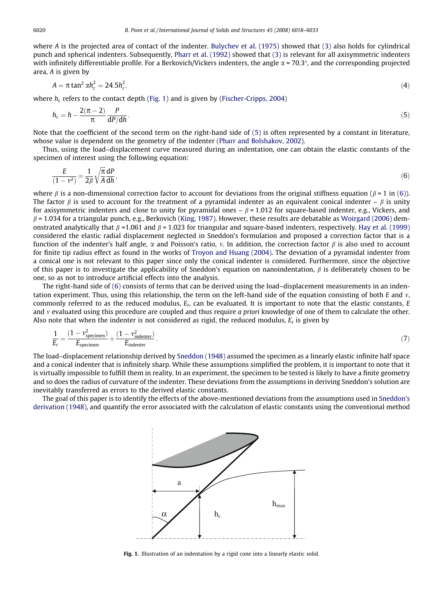<span id="page-2-0"></span>where A is the projected area of contact of the indenter. [Bulychev et al. \(1975\)](#page-15-0) showed that [\(3\)](#page-1-0) also holds for cylindrical punch and spherical indenters. Subsequently, [Pharr et al. \(1992\)](#page-15-0) showed that [\(3\)](#page-1-0) is relevant for all axisymmetric indenters with infinitely differentiable profile. For a Berkovich/Vickers indenters, the angle  $\alpha$  = 70.3°, and the corresponding projected area, A is given by

$$
A = \pi \tan^2 \alpha h_c^2 = 24.5 h_c^2,\tag{4}
$$

where  $h_c$  refers to the contact depth (Fig. 1) and is given by ([Fischer-Cripps, 2004](#page-15-0))

$$
h_{\rm c} = h - \frac{2(\pi - 2)}{\pi} \frac{P}{\mathrm{d}P/\mathrm{d}h}.\tag{5}
$$

Note that the coefficient of the second term on the right-hand side of (5) is often represented by a constant in literature, whose value is dependent on the geometry of the indenter [\(Pharr and Bolshakov, 2002\)](#page-15-0).

Thus, using the load–displacement curve measured during an indentation, one can obtain the elastic constants of the specimen of interest using the following equation:

$$
\frac{E}{(1-v^2)} = \frac{1}{2\beta} \sqrt{\frac{\pi}{A}} \frac{dP}{dh},\tag{6}
$$

where  $\beta$  is a non-dimensional correction factor to account for deviations from the original stiffness equation ( $\beta$  = 1 in (6)). The factor  $\beta$  is used to account for the treatment of a pyramidal indenter as an equivalent conical indenter –  $\beta$  is unity for axisymmetric indenters and close to unity for pyramidal ones  $-\beta = 1.012$  for square-based indenter, e.g., Vickers, and  $\beta$  = 1.034 for a triangular punch, e.g., Berkovich [\(King, 1987\)](#page-15-0). However, these results are debatable as [Woirgard \(2006\)](#page-15-0) demonstrated analytically that  $\beta$  =1.061 and  $\beta$  = 1.023 for triangular and square-based indenters, respectively. [Hay et al. \(1999\)](#page-15-0) considered the elastic radial displacement neglected in Sneddon's formulation and proposed a correction factor that is a function of the indenter's half angle,  $\alpha$  and Poisson's ratio, v. In addition, the correction factor  $\beta$  is also used to account for finite tip radius effect as found in the works of [Troyon and Huang \(2004\)](#page-15-0). The deviation of a pyramidal indenter from a conical one is not relevant to this paper since only the conical indenter is considered. Furthermore, since the objective of this paper is to investigate the applicability of Sneddon's equation on nanoindentation,  $\beta$  is deliberately chosen to be one, so as not to introduce artificial effects into the analysis.

The right-hand side of (6) consists of terms that can be derived using the load–displacement measurements in an indentation experiment. Thus, using this relationship, the term on the left-hand side of the equation consisting of both  $E$  and  $v$ , commonly referred to as the reduced modulus,  $E_r$ , can be evaluated. It is important to note that the elastic constants,  $E$ and v evaluated using this procedure are coupled and thus require a priori knowledge of one of them to calculate the other. Also note that when the indenter is not considered as rigid, the reduced modulus,  $E_r$  is given by

$$
\frac{1}{E_r} = \frac{(1 - v_{\text{specimen}}^2)}{E_{\text{specimen}}} + \frac{(1 - v_{\text{indenter}}^2)}{E_{\text{indenter}}}.
$$
\n(7)

The load–displacement relationship derived by [Sneddon \(1948\)](#page-15-0) assumed the specimen as a linearly elastic infinite half space and a conical indenter that is infinitely sharp. While these assumptions simplified the problem, it is important to note that it is virtually impossible to fulfill them in reality. In an experiment, the specimen to be tested is likely to have a finite geometry and so does the radius of curvature of the indenter. These deviations from the assumptions in deriving Sneddon's solution are inevitably transferred as errors to the derived elastic constants.

The goal of this paper is to identify the effects of the above-mentioned deviations from the assumptions used in [Sneddon's](#page-15-0) [derivation \(1948\)](#page-15-0), and quantify the error associated with the calculation of elastic constants using the conventional method



Fig. 1. Illustration of an indentation by a rigid cone into a linearly elastic solid.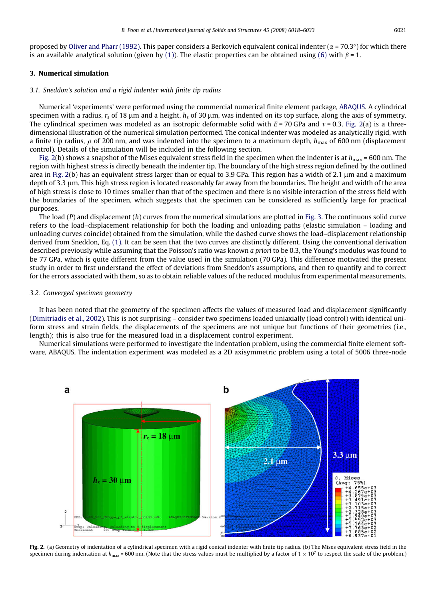<span id="page-3-0"></span>proposed by [Oliver and Pharr \(1992\).](#page-15-0) This paper considers a Berkovich equivalent conical indenter ( $\alpha$  = 70.3°) for which there is an available analytical solution (given by [\(1\)](#page-1-0)). The elastic properties can be obtained using [\(6\)](#page-2-0) with  $\beta = 1$ .

# 3. Numerical simulation

#### 3.1. Sneddon's solution and a rigid indenter with finite tip radius

Numerical 'experiments' were performed using the commercial numerical finite element package, [ABAQUS.](#page-15-0) A cylindrical specimen with a radius,  $r_s$  of 18  $\mu$ m and a height,  $h_s$  of 30  $\mu$ m, was indented on its top surface, along the axis of symmetry. The cylindrical specimen was modeled as an isotropic deformable solid with  $E = 70$  GPa and  $v = 0.3$ . Fig. 2(a) is a threedimensional illustration of the numerical simulation performed. The conical indenter was modeled as analytically rigid, with a finite tip radius,  $\rho$  of 200 nm, and was indented into the specimen to a maximum depth,  $h_{\text{max}}$  of 600 nm (displacement control). Details of the simulation will be included in the following section.

Fig. 2(b) shows a snapshot of the Mises equivalent stress field in the specimen when the indenter is at  $h_{\text{max}}$  = 600 nm. The region with highest stress is directly beneath the indenter tip. The boundary of the high stress region defined by the outlined area in Fig.  $2(b)$  has an equivalent stress larger than or equal to 3.9 GPa. This region has a width of 2.1  $\mu$ m and a maximum depth of 3.3  $\mu$ m. This high stress region is located reasonably far away from the boundaries. The height and width of the area of high stress is close to 10 times smaller than that of the specimen and there is no visible interaction of the stress field with the boundaries of the specimen, which suggests that the specimen can be considered as sufficiently large for practical purposes.

The load  $(P)$  and displacement  $(h)$  curves from the numerical simulations are plotted in [Fig. 3.](#page-4-0) The continuous solid curve refers to the load–displacement relationship for both the loading and unloading paths (elastic simulation – loading and unloading curves coincide) obtained from the simulation, while the dashed curve shows the load–displacement relationship derived from Sneddon, Eq. [\(1\).](#page-1-0) It can be seen that the two curves are distinctly different. Using the conventional derivation described previously while assuming that the Poisson's ratio was known a priori to be 0.3, the Young's modulus was found to be 77 GPa, which is quite different from the value used in the simulation (70 GPa). This difference motivated the present study in order to first understand the effect of deviations from Sneddon's assumptions, and then to quantify and to correct for the errors associated with them, so as to obtain reliable values of the reduced modulus from experimental measurements.

#### 3.2. Converged specimen geometry

It has been noted that the geometry of the specimen affects the values of measured load and displacement significantly ([Dimitriadis et al., 2002\)](#page-15-0). This is not surprising – consider two specimens loaded uniaxially (load control) with identical uniform stress and strain fields, the displacements of the specimens are not unique but functions of their geometries (i.e., length); this is also true for the measured load in a displacement control experiment.

Numerical simulations were performed to investigate the indentation problem, using the commercial finite element software, ABAQUS. The indentation experiment was modeled as a 2D axisymmetric problem using a total of 5006 three-node



Fig. 2. (a) Geometry of indentation of a cylindrical specimen with a rigid conical indenter with finite tip radius. (b) The Mises equivalent stress field in the specimen during indentation at  $h_{\text{max}}$  = 600 nm. (Note that the stress values must be multiplied by a factor of  $1 \times 10^7$  to respect the scale of the problem.)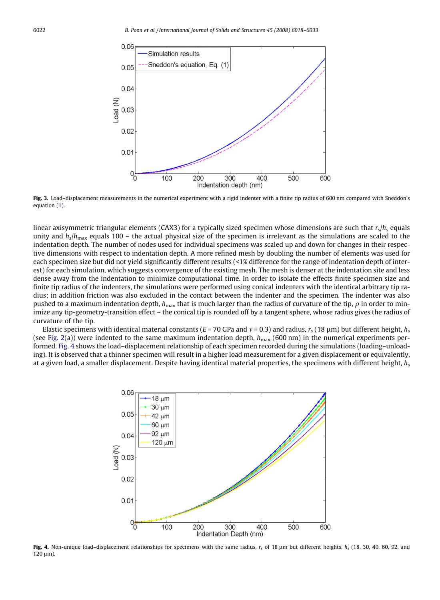<span id="page-4-0"></span>

Fig. 3. Load-displacement measurements in the numerical experiment with a rigid indenter with a finite tip radius of 600 nm compared with Sneddon's equation [\(1\).](#page-1-0)

linear axisymmetric triangular elements (CAX3) for a typically sized specimen whose dimensions are such that  $r_s/h_s$  equals unity and  $h_s/h_{\text{max}}$  equals 100 – the actual physical size of the specimen is irrelevant as the simulations are scaled to the indentation depth. The number of nodes used for individual specimens was scaled up and down for changes in their respective dimensions with respect to indentation depth. A more refined mesh by doubling the number of elements was used for each specimen size but did not yield significantly different results (<1% difference for the range of indentation depth of interest) for each simulation, which suggests convergence of the existing mesh. The mesh is denser at the indentation site and less dense away from the indentation to minimize computational time. In order to isolate the effects finite specimen size and finite tip radius of the indenters, the simulations were performed using conical indenters with the identical arbitrary tip radius; in addition friction was also excluded in the contact between the indenter and the specimen. The indenter was also pushed to a maximum indentation depth,  $h_{\max}$  that is much larger than the radius of curvature of the tip,  $\rho$  in order to minimize any tip-geometry-transition effect – the conical tip is rounded off by a tangent sphere, whose radius gives the radius of curvature of the tip.

Elastic specimens with identical material constants (E = 70 GPa and  $v$  = 0.3) and radius,  $r_s$  (18  $\mu$ m) but different height,  $h_s$ (see [Fig. 2\(](#page-3-0)a)) were indented to the same maximum indentation depth,  $h_{\text{max}}$  (600 nm) in the numerical experiments performed. Fig. 4 shows the load–displacement relationship of each specimen recorded during the simulations (loading–unloading). It is observed that a thinner specimen will result in a higher load measurement for a given displacement or equivalently, at a given load, a smaller displacement. Despite having identical material properties, the specimens with different height,  $h_s$ 



Fig. 4. Non-unique load-displacement relationships for specimens with the same radius,  $r_s$  of 18  $\mu$ m but different heights,  $h_s$  (18, 30, 40, 60, 92, and  $120 \mu m$ ).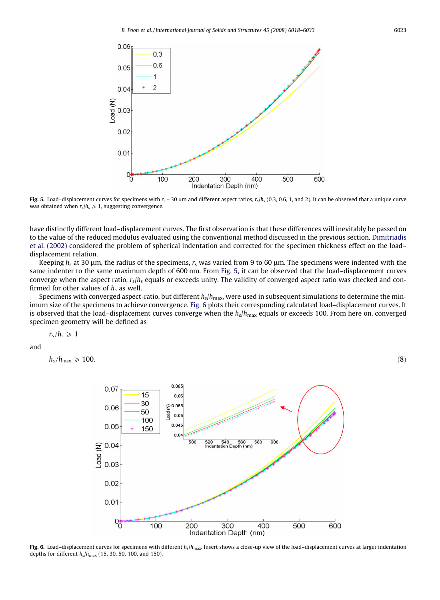<span id="page-5-0"></span>

Fig. 5. Load–displacement curves for specimens with  $r_s = 30 \mu m$  and different aspect ratios,  $r_s/h_s$  (0.3, 0.6, 1, and 2). It can be observed that a unique curve was obtained when  $r_s/h_s \geq 1$ , suggesting convergence.

have distinctly different load–displacement curves. The first observation is that these differences will inevitably be passed on to the value of the reduced modulus evaluated using the conventional method discussed in the previous section. [Dimitriadis](#page-15-0) [et al. \(2002\)](#page-15-0) considered the problem of spherical indentation and corrected for the specimen thickness effect on the load– displacement relation.

Keeping  $h_s$  at 30 µm, the radius of the specimens,  $r_s$  was varied from 9 to 60 µm. The specimens were indented with the same indenter to the same maximum depth of 600 nm. From Fig. 5, it can be observed that the load–displacement curves converge when the aspect ratio,  $r_s/h_s$  equals or exceeds unity. The validity of converged aspect ratio was checked and confirmed for other values of  $h_s$  as well.

Specimens with converged aspect-ratio, but different  $h_s/h_{\text{max}}$ , were used in subsequent simulations to determine the minimum size of the specimens to achieve convergence. Fig. 6 plots their corresponding calculated load–displacement curves. It is observed that the load–displacement curves converge when the  $h_s/h_{\text{max}}$  equals or exceeds 100. From here on, converged specimen geometry will be defined as

$$
r_{\rm s}/h_{\rm s}\geqslant 1
$$

and

 $h_{\rm s}/h_{\rm max} \geqslant 100.$  (8)



Fig. 6. Load–displacement curves for specimens with different  $h_s/h_{\text{max}}$ . Insert shows a close-up view of the load–displacement curves at larger indentation depths for different  $h_s/h_{\text{max}}$  (15, 30, 50, 100, and 150).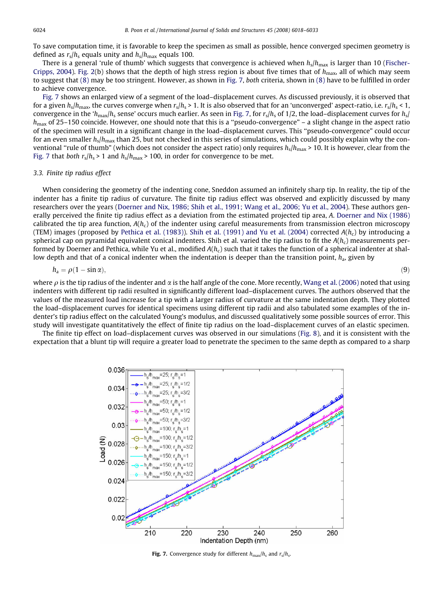<span id="page-6-0"></span>To save computation time, it is favorable to keep the specimen as small as possible, hence converged specimen geometry is defined as  $r_s/h_s$  equals unity and  $h_s/h_{\text{max}}$  equals 100.

There is a general 'rule of thumb' which suggests that convergence is achieved when  $h_s/h_{\text{max}}$  is larger than 10 [\(Fischer-](#page-15-0)[Cripps, 2004\)](#page-15-0). [Fig. 2](#page-3-0)(b) shows that the depth of high stress region is about five times that of  $h_{\text{max}}$ , all of which may seem to suggest that [\(8\)](#page-5-0) may be too stringent. However, as shown in Fig. 7, both criteria, shown in [\(8\)](#page-5-0) have to be fulfilled in order to achieve convergence.

Fig. 7 shows an enlarged view of a segment of the load–displacement curves. As discussed previously, it is observed that for a given  $h_s/h_{\text{max}}$ , the curves converge when  $r_s/h_s > 1$ . It is also observed that for an 'unconverged' aspect-ratio, i.e.  $r_s/h_s < 1$ , convergence in the ' $h_{\text{max}}/h_s$  sense' occurs much earlier. As seen in Fig. 7, for  $r_s/h_s$  of 1/2, the load–displacement curves for  $h_s/$  $h_{\text{max}}$  of 25–150 coincide. However, one should note that this is a "pseudo-convergence" – a slight change in the aspect ratio of the specimen will result in a significant change in the load–displacement curves. This ''pseudo-convergence" could occur for an even smaller  $h_s/h_{\text{max}}$  than 25, but not checked in this series of simulations, which could possibly explain why the conventional "rule of thumb" (which does not consider the aspect ratio) only requires  $h_s/h_{\text{max}} > 10$ . It is however, clear from the Fig. 7 that both  $r_s/h_s > 1$  and  $h_s/h_{\text{max}} > 100$ , in order for convergence to be met.

#### 3.3. Finite tip radius effect

When considering the geometry of the indenting cone, Sneddon assumed an infinitely sharp tip. In reality, the tip of the indenter has a finite tip radius of curvature. The finite tip radius effect was observed and explicitly discussed by many researchers over the years ([Doerner and Nix, 1986; Shih et al., 1991; Wang et al., 2006; Yu et al., 2004\)](#page-15-0). These authors generally perceived the finite tip radius effect as a deviation from the estimated projected tip area, A. [Doerner and Nix \(1986\)](#page-15-0) calibrated the tip area function,  $A(h_c)$  of the indenter using careful measurements from transmission electron microscopy (TEM) images (proposed by [Pethica et al. \(1983\)](#page-15-0)). [Shih et al. \(1991\) and Yu et al. \(2004\)](#page-15-0) corrected  $A(h_c)$  by introducing a spherical cap on pyramidal equivalent conical indenters. Shih et al. varied the tip radius to fit the  $A(h_c)$  measurements performed by Doerner and Pethica, while Yu et al., modified  $A(h_c)$  such that it takes the function of a spherical indenter at shallow depth and that of a conical indenter when the indentation is deeper than the transition point,  $h_a$ , given by

$$
h_{\mathsf{a}} = \rho(1 - \sin \alpha),\tag{9}
$$

where  $\rho$  is the tip radius of the indenter and  $\alpha$  is the half angle of the cone. More recently, [Wang et al. \(2006\)](#page-15-0) noted that using indenters with different tip radii resulted in significantly different load–displacement curves. The authors observed that the values of the measured load increase for a tip with a larger radius of curvature at the same indentation depth. They plotted the load–displacement curves for identical specimens using different tip radii and also tabulated some examples of the indenter's tip radius effect on the calculated Young's modulus, and discussed qualitatively some possible sources of error. This study will investigate quantitatively the effect of finite tip radius on the load–displacement curves of an elastic specimen.

The finite tip effect on load–displacement curves was observed in our simulations ([Fig. 8](#page-7-0)), and it is consistent with the expectation that a blunt tip will require a greater load to penetrate the specimen to the same depth as compared to a sharp



**Fig. 7.** Convergence study for different  $h_{\text{max}}/h_s$  and  $r_s/h_s$ .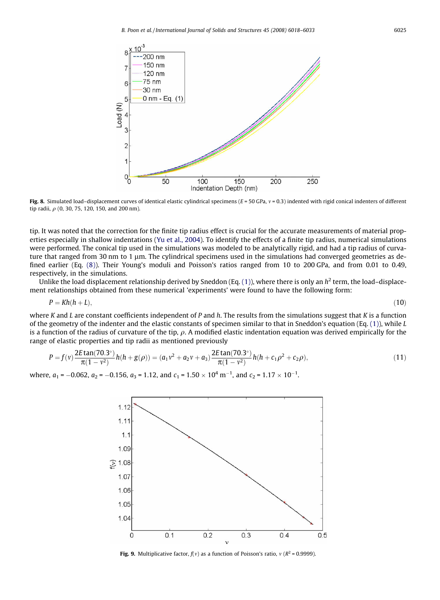<span id="page-7-0"></span>

Fig. 8. Simulated load-displacement curves of identical elastic cylindrical specimens ( $E = 50$  GPa,  $v = 0.3$ ) indented with rigid conical indenters of different tip radii,  $\rho$  (0, 30, 75, 120, 150, and 200 nm).

tip. It was noted that the correction for the finite tip radius effect is crucial for the accurate measurements of material properties especially in shallow indentations [\(Yu et al., 2004\)](#page-15-0). To identify the effects of a finite tip radius, numerical simulations were performed. The conical tip used in the simulations was modeled to be analytically rigid, and had a tip radius of curvature that ranged from 30 nm to 1  $\mu$ m. The cylindrical specimens used in the simulations had converged geometries as defined earlier (Eq. [\(8\)](#page-5-0)). Their Young's moduli and Poisson's ratios ranged from 10 to 200 GPa, and from 0.01 to 0.49, respectively, in the simulations.

Unlike the load displacement relationship derived by Sneddon (Eq. [\(1\)](#page-1-0)), where there is only an  $h^2$  term, the load–displacement relationships obtained from these numerical 'experiments' were found to have the following form:

$$
P = Kh(h+L),\tag{10}
$$

where K and L are constant coefficients independent of P and h. The results from the simulations suggest that K is a function of the geometry of the indenter and the elastic constants of specimen similar to that in Sneddon's equation (Eq.  $(1)$ ), while L is a function of the radius of curvature of the tip,  $\rho$ . A modified elastic indentation equation was derived empirically for the range of elastic properties and tip radii as mentioned previously

$$
P = f(v) \frac{2E \tan(70.3^\circ)}{\pi (1 - v^2)} h(h + g(\rho)) = (a_1 v^2 + a_2 v + a_3) \frac{2E \tan(70.3^\circ)}{\pi (1 - v^2)} h(h + c_1 \rho^2 + c_2 \rho),
$$
\n(11)

where,  $a_1 = -0.062$ ,  $a_2 = -0.156$ ,  $a_3 = 1.12$ , and  $c_1 = 1.50 \times 10^4$  m<sup>-1</sup>, and  $c_2 = 1.17 \times 10^{-1}$ .



Fig. 9. Multiplicative factor,  $f(v)$  as a function of Poisson's ratio,  $v (R^2 = 0.9999)$ .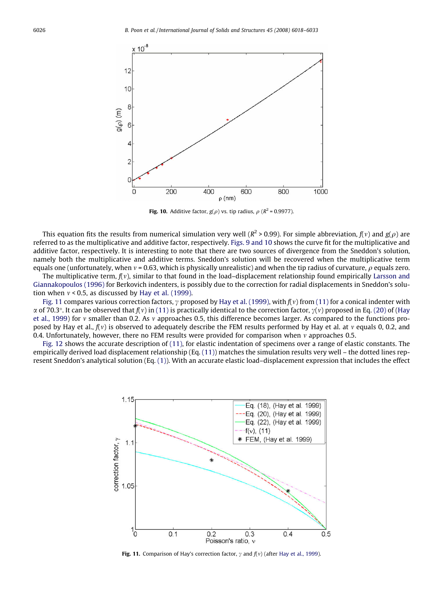

Fig. 10. Additive factor,  $g(\rho)$  vs. tip radius,  $\rho$  ( $R^2$  = 0.9977).

This equation fits the results from numerical simulation very well ( $R^2 > 0.99$ ). For simple abbreviation,  $f(y)$  and  $g(y)$  are referred to as the multiplicative and additive factor, respectively. [Figs. 9 and 10](#page-7-0) shows the curve fit for the multiplicative and additive factor, respectively. It is interesting to note that there are two sources of divergence from the Sneddon's solution, namely both the multiplicative and additive terms. Sneddon's solution will be recovered when the multiplicative term equals one (unfortunately, when  $y = 0.63$ , which is physically unrealistic) and when the tip radius of curvature,  $\rho$  equals zero. The multiplicative term,  $f(v)$ , similar to that found in the load–displacement relationship found empirically [Larsson and](#page-15-0)

[Giannakopoulos \(1996\)](#page-15-0) for Berkovich indenters, is possibly due to the correction for radial displacements in Sneddon's solution when  $v < 0.5$ , as discussed by [Hay et al. \(1999\).](#page-15-0)

Fig. 11 compares various correction factors,  $\gamma$  proposed by [Hay et al. \(1999\)](#page-15-0), with  $f(\gamma)$  from [\(11\)](#page-7-0) for a conical indenter with  $\alpha$  of 70.3°. It can be observed that  $f(y)$  in [\(11\)](#page-7-0) is practically identical to the correction factor,  $y(y)$  proposed in Eq. [\(20\)](#page-11-0) of [\(Hay](#page-15-0) [et al., 1999\)](#page-15-0) for v smaller than 0.2. As v approaches 0.5, this difference becomes larger. As compared to the functions proposed by Hay et al.,  $f(v)$  is observed to adequately describe the FEM results performed by Hay et al. at v equals 0, 0.2, and 0.4. Unfortunately, however, there no FEM results were provided for comparison when  $\nu$  approaches 0.5.

[Fig. 12](#page-9-0) shows the accurate description of [\(11\),](#page-7-0) for elastic indentation of specimens over a range of elastic constants. The empirically derived load displacement relationship (Eq.  $(11)$ ) matches the simulation results very well – the dotted lines represent Sneddon's analytical solution (Eq. [\(1\)\)](#page-1-0). With an accurate elastic load–displacement expression that includes the effect



Fig. 11. Comparison of Hay's correction factor,  $\gamma$  and  $f(\nu)$  (after [Hay et al., 1999\)](#page-15-0).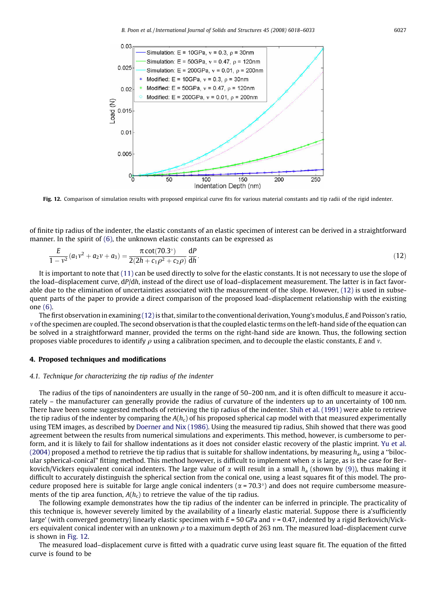<span id="page-9-0"></span>

Fig. 12. Comparison of simulation results with proposed empirical curve fits for various material constants and tip radii of the rigid indenter.

of finite tip radius of the indenter, the elastic constants of an elastic specimen of interest can be derived in a straightforward manner. In the spirit of [\(6\)](#page-2-0), the unknown elastic constants can be expressed as

$$
\frac{E}{1 - v^2}(a_1v^2 + a_2v + a_3) = \frac{\pi \cot(70.3^\circ)}{2(2h + c_1\rho^2 + c_2\rho)} \frac{dP}{dh}.
$$
\n(12)

It is important to note that [\(11\)](#page-7-0) can be used directly to solve for the elastic constants. It is not necessary to use the slope of the load–displacement curve, dP/dh, instead of the direct use of load–displacement measurement. The latter is in fact favorable due to the elimination of uncertainties associated with the measurement of the slope. However, (12) is used in subsequent parts of the paper to provide a direct comparison of the proposed load–displacement relationship with the existing one [\(6\)](#page-2-0).

The first observation in examining  $(12)$  is that, similar to the conventional derivation, Young's modulus, E and Poisson's ratio, m of the specimen are coupled. The second observation is that the coupled elastic terms on the left-hand side of the equation can be solved in a straightforward manner, provided the terms on the right-hand side are known. Thus, the following section proposes viable procedures to identify  $\rho$  using a calibration specimen, and to decouple the elastic constants, E and v.

#### 4. Proposed techniques and modifications

#### 4.1. Technique for characterizing the tip radius of the indenter

The radius of the tips of nanoindenters are usually in the range of 50–200 nm, and it is often difficult to measure it accurately – the manufacturer can generally provide the radius of curvature of the indenters up to an uncertainty of 100 nm. There have been some suggested methods of retrieving the tip radius of the indenter. [Shih et al. \(1991\)](#page-15-0) were able to retrieve the tip radius of the indenter by comparing the  $A(h_c)$  of his proposed spherical cap model with that measured experimentally using TEM images, as described by [Doerner and Nix \(1986\)](#page-15-0). Using the measured tip radius, Shih showed that there was good agreement between the results from numerical simulations and experiments. This method, however, is cumbersome to perform, and it is likely to fail for shallow indentations as it does not consider elastic recovery of the plastic imprint. [Yu et al.](#page-15-0) [\(2004\)](#page-15-0) proposed a method to retrieve the tip radius that is suitable for shallow indentations, by measuring  $h_a$ , using a "bilocular spherical-conical" fitting method. This method however, is difficult to implement when  $\alpha$  is large, as is the case for Berkovich/Vickers equivalent conical indenters. The large value of  $\alpha$  will result in a small  $h_a$  (shown by [\(9\)\)](#page-6-0), thus making it difficult to accurately distinguish the spherical section from the conical one, using a least squares fit of this model. The procedure proposed here is suitable for large angle conical indenters ( $\alpha$  = 70.3°) and does not require cumbersome measurements of the tip area function,  $A(h_c)$  to retrieve the value of the tip radius.

The following example demonstrates how the tip radius of the indenter can be inferred in principle. The practicality of this technique is, however severely limited by the availability of a linearly elastic material. Suppose there is a'sufficiently large' (with converged geometry) linearly elastic specimen with  $E = 50$  GPa and  $v = 0.47$ , indented by a rigid Berkovich/Vickers equivalent conical indenter with an unknown  $\rho$  to a maximum depth of 263 nm. The measured load–displacement curve is shown in Fig. 12.

The measured load–displacement curve is fitted with a quadratic curve using least square fit. The equation of the fitted curve is found to be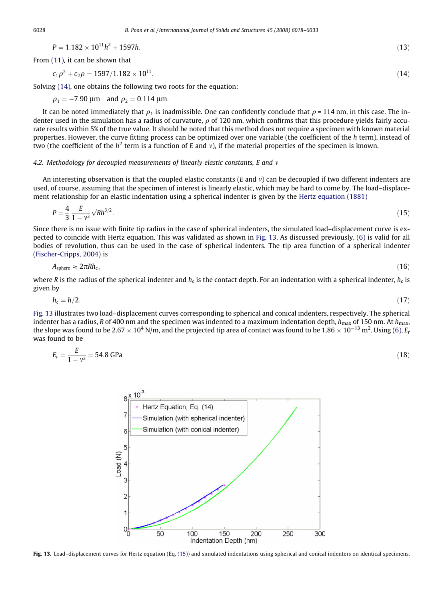<span id="page-10-0"></span>

$$
P = 1.182 \times 10^{11} h^2 + 1597 h. \tag{13}
$$

From [\(11\)](#page-7-0), it can be shown that

$$
c_1 \rho^2 + c_2 \rho = 1597/1.182 \times 10^{11}.
$$

Solving (14), one obtains the following two roots for the equation:

 $\rho_1 = -7.90 \text{ }\mu\text{m}$  and  $\rho_2 = 0.114 \text{ }\mu\text{m}$ .

It can be noted immediately that  $\rho_1$  is inadmissible. One can confidently conclude that  $\rho = 114$  nm, in this case. The indenter used in the simulation has a radius of curvature,  $\rho$  of 120 nm, which confirms that this procedure yields fairly accurate results within 5% of the true value. It should be noted that this method does not require a specimen with known material properties. However, the curve fitting process can be optimized over one variable (the coefficient of the h term), instead of two (the coefficient of the  $h^2$  term is a function of E and v), if the material properties of the specimen is known.

#### 4.2. Methodology for decoupled measurements of linearly elastic constants, E and  $v$

An interesting observation is that the coupled elastic constants (E and  $v$ ) can be decoupled if two different indenters are used, of course, assuming that the specimen of interest is linearly elastic, which may be hard to come by. The load–displacement relationship for an elastic indentation using a spherical indenter is given by the [Hertz equation \(1881\)](#page-15-0)

$$
P = \frac{4}{3} \frac{E}{1 - v^2} \sqrt{R} h^{3/2}.
$$
 (15)

Since there is no issue with finite tip radius in the case of spherical indenters, the simulated load–displacement curve is expected to coincide with Hertz equation. This was validated as shown in Fig. 13. As discussed previously, [\(6\)](#page-2-0) is valid for all bodies of revolution, thus can be used in the case of spherical indenters. The tip area function of a spherical indenter [\(Fischer-Cripps, 2004\)](#page-15-0) is

$$
A_{\text{sphere}} \approx 2\pi R h_{\text{c}},\tag{16}
$$

where R is the radius of the spherical indenter and  $h_c$  is the contact depth. For an indentation with a spherical indenter,  $h_c$  is given by

$$
h_{\rm c} = h/2. \tag{17}
$$

Fig. 13 illustrates two load–displacement curves corresponding to spherical and conical indenters, respectively. The spherical indenter has a radius, R of 400 nm and the specimen was indented to a maximum indentation depth,  $h_{\text{max}}$  of 150 nm. At  $h_{\text{max}}$ the slope was found to be 2.67  $\times$  10<sup>4</sup> N/m, and the projected tip area of contact was found to be 1.86  $\times$  10<sup>–13</sup> m<sup>2</sup>. Using [\(6\),](#page-2-0) E<sub>1</sub> was found to be

$$
E_r = \frac{E}{1 - v^2} = 54.8 \text{ GPa}
$$
 (18)



Fig. 13. Load–displacement curves for Hertz equation (Eq. (15)) and simulated indentations using spherical and conical indenters on identical specimens.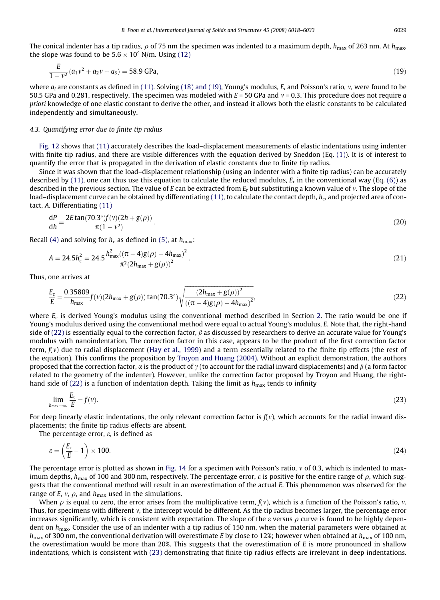<span id="page-11-0"></span>The conical indenter has a tip radius,  $\rho$  of 75 nm the specimen was indented to a maximum depth,  $h_{\text{max}}$  of 263 nm. At  $h_{\text{max}}$ , the slope was found to be  $5.6 \times 10^4$  N/m. Using [\(12\)](#page-9-0)

$$
\frac{E}{1 - v^2}(a_1v^2 + a_2v + a_3) = 58.9 \text{ GPa},\tag{19}
$$

where  $a_i$  are constants as defined in [\(11\).](#page-7-0) Solving [\(18\) and \(19\),](#page-10-0) Young's modulus, E, and Poisson's ratio, v, were found to be 50.5 GPa and 0.281, respectively. The specimen was modeled with  $E = 50$  GPa and  $v = 0.3$ . This procedure does not require a priori knowledge of one elastic constant to derive the other, and instead it allows both the elastic constants to be calculated independently and simultaneously.

#### 4.3. Quantifying error due to finite tip radius

[Fig. 12](#page-9-0) shows that [\(11\)](#page-7-0) accurately describes the load–displacement measurements of elastic indentations using indenter with finite tip radius, and there are visible differences with the equation derived by Sneddon (Eq. [\(1\)\)](#page-1-0). It is of interest to quantify the error that is propagated in the derivation of elastic constants due to finite tip radius.

Since it was shown that the load–displacement relationship (using an indenter with a finite tip radius) can be accurately described by [\(11\)](#page-7-0), one can thus use this equation to calculate the reduced modulus,  $E_r$  in the conventional way (Eq. [\(6\)\)](#page-2-0) as described in the previous section. The value of E can be extracted from  $E_r$  but substituting a known value of v. The slope of the load–displacement curve can be obtained by differentiating  $(11)$ , to calculate the contact depth,  $h_c$ , and projected area of contact, A. Differentiating [\(11\)](#page-7-0)

$$
\frac{dP}{dh} = \frac{2E \tan(70.3^\circ) f(v)(2h + g(\rho))}{\pi (1 - v^2)}.
$$
\n(20)

Recall [\(4\)](#page-2-0) and solving for  $h_c$  as defined in [\(5\)](#page-2-0), at  $h_{\text{max}}$ :

$$
A = 24.5h_c^2 = 24.5 \frac{h_{\text{max}}^2((\pi - 4)g(\rho) - 4h_{\text{max}})^2}{\pi^2 (2h_{\text{max}} + g(\rho))^2}.
$$
 (21)

Thus, one arrives at

$$
\frac{E_{c}}{E} = \frac{0.35809}{h_{\text{max}}} f(v) (2h_{\text{max}} + g(\rho)) \tan(70.3^{\circ}) \sqrt{\frac{(2h_{\text{max}} + g(\rho))^{2}}{((\pi - 4)g(\rho) - 4h_{\text{max}})^{2}}},
$$
\n(22)

where  $E_c$  is derived Young's modulus using the conventional method described in Section 2. The ratio would be one if Young's modulus derived using the conventional method were equal to actual Young's modulus, E. Note that, the right-hand side of (22) is essentially equal to the correction factor,  $\beta$  as discussed by researchers to derive an accurate value for Young's modulus with nanoindentation. The correction factor in this case, appears to be the product of the first correction factor term,  $f(v)$  due to radial displacement ([Hay et al., 1999\)](#page-15-0) and a term essentially related to the finite tip effects (the rest of the equation). This confirms the proposition by [Troyon and Huang \(2004\).](#page-15-0) Without an explicit demonstration, the authors proposed that the correction factor,  $\alpha$  is the product of  $\gamma$  (to account for the radial inward displacements) and  $\beta$  (a form factor related to the geometry of the indenter). However, unlike the correction factor proposed by Troyon and Huang, the righthand side of (22) is a function of indentation depth. Taking the limit as  $h_{\text{max}}$  tends to infinity

$$
\lim_{h_{\text{max}} \to \infty} \frac{E_{\text{c}}}{E} = f(v). \tag{23}
$$

For deep linearly elastic indentations, the only relevant correction factor is  $f(v)$ , which accounts for the radial inward displacements; the finite tip radius effects are absent.

The percentage error,  $\varepsilon$ , is defined as

$$
\varepsilon = \left(\frac{E_c}{E} - 1\right) \times 100. \tag{24}
$$

The percentage error is plotted as shown in [Fig. 14](#page-12-0) for a specimen with Poisson's ratio,  $v$  of 0.3, which is indented to maximum depths,  $h_{\text{max}}$  of 100 and 300 nm, respectively. The percentage error,  $\varepsilon$  is positive for the entire range of  $\rho$ , which suggests that the conventional method will result in an overestimation of the actual E. This phenomenon was observed for the range of E, v,  $\rho$ , and  $h_{\text{max}}$  used in the simulations.

When  $\rho$  is equal to zero, the error arises from the multiplicative term,  $f(v)$ , which is a function of the Poisson's ratio, v. Thus, for specimens with different  $v$ , the intercept would be different. As the tip radius becomes larger, the percentage error increases significantly, which is consistent with expectation. The slope of the  $\varepsilon$  versus  $\rho$  curve is found to be highly dependent on  $h_{\text{max}}$ . Consider the use of an indenter with a tip radius of 150 nm, when the material parameters were obtained at  $h_{\text{max}}$  of 300 nm, the conventional derivation will overestimate E by close to 12%; however when obtained at  $h_{\text{max}}$  of 100 nm, the overestimation would be more than 20%. This suggests that the overestimation of  $E$  is more pronounced in shallow indentations, which is consistent with (23) demonstrating that finite tip radius effects are irrelevant in deep indentations.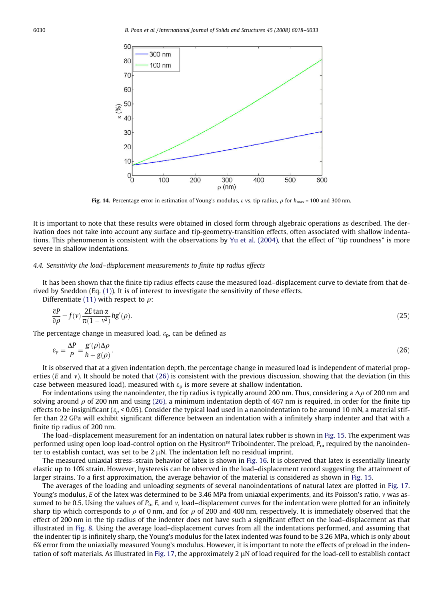<span id="page-12-0"></span>

Fig. 14. Percentage error in estimation of Young's modulus,  $\varepsilon$  vs. tip radius,  $\rho$  for  $h_{\text{max}} = 100$  and 300 nm.

It is important to note that these results were obtained in closed form through algebraic operations as described. The derivation does not take into account any surface and tip-geometry-transition effects, often associated with shallow indenta-tions. This phenomenon is consistent with the observations by [Yu et al. \(2004\)](#page-15-0), that the effect of "tip roundness" is more severe in shallow indentations.

#### 4.4. Sensitivity the load–displacement measurements to finite tip radius effects

It has been shown that the finite tip radius effects cause the measured load–displacement curve to deviate from that derived by Sneddon (Eq. [\(1\)](#page-1-0)). It is of interest to investigate the sensitivity of these effects.

Differentiate [\(11\)](#page-7-0) with respect to  $\rho$ :

$$
\frac{\partial P}{\partial \rho} = f(v) \frac{2E \tan \alpha}{\pi (1 - v^2)} h g'(\rho).
$$
 (25)

The percentage change in measured load,  $\varepsilon_{p}$ , can be defined as

$$
\varepsilon_{\rm p} = \frac{\Delta P}{P} = \frac{g'(\rho)\Delta\rho}{h + g(\rho)}.\tag{26}
$$

It is observed that at a given indentation depth, the percentage change in measured load is independent of material properties (E and v). It should be noted that (26) is consistent with the previous discussion, showing that the deviation (in this case between measured load), measured with  $\varepsilon_p$  is more severe at shallow indentation.

For indentations using the nanoindenter, the tip radius is typically around 200 nm. Thus, considering a  $\Delta \rho$  of 200 nm and solving around  $\rho$  of 200 nm and using (26), a minimum indentation depth of 467 nm is required, in order for the finite tip effects to be insignificant ( $\varepsilon_n$  < 0.05). Consider the typical load used in a nanoindentation to be around 10 mN, a material stiffer than 22 GPa will exhibit significant difference between an indentation with a infinitely sharp indenter and that with a finite tip radius of 200 nm.

The load–displacement measurement for an indentation on natural latex rubber is shown in [Fig. 15.](#page-13-0) The experiment was performed using open loop load-control option on the Hysitron<sup> $M$ </sup> Triboindenter. The preload,  $P_o$ , required by the nanoindenter to establish contact, was set to be  $2 \mu N$ . The indentation left no residual imprint.

The measured uniaxial stress–strain behavior of latex is shown in [Fig. 16](#page-13-0). It is observed that latex is essentially linearly elastic up to 10% strain. However, hysteresis can be observed in the load–displacement record suggesting the attainment of larger strains. To a first approximation, the average behavior of the material is considered as shown in [Fig. 15](#page-13-0).

The averages of the loading and unloading segments of several nanoindentations of natural latex are plotted in [Fig. 17](#page-14-0). Young's modulus, E of the latex was determined to be 3.46 MPa from uniaxial experiments, and its Poisson's ratio, v was assumed to be 0.5. Using the values of  $P_0$ , E, and v, load–displacement curves for the indentation were plotted for an infinitely sharp tip which corresponds to  $\rho$  of 0 nm, and for  $\rho$  of 200 and 400 nm, respectively. It is immediately observed that the effect of 200 nm in the tip radius of the indenter does not have such a significant effect on the load–displacement as that illustrated in [Fig. 8](#page-7-0). Using the average load–displacement curves from all the indentations performed, and assuming that the indenter tip is infinitely sharp, the Young's modulus for the latex indented was found to be 3.26 MPa, which is only about 6% error from the uniaxially measured Young's modulus. However, it is important to note the effects of preload in the inden-tation of soft materials. As illustrated in [Fig. 17,](#page-14-0) the approximately 2  $\mu$ N of load required for the load-cell to establish contact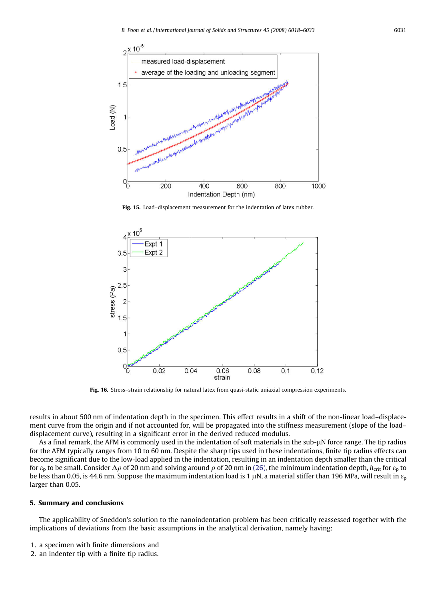<span id="page-13-0"></span>

Fig. 15. Load-displacement measurement for the indentation of latex rubber.



Fig. 16. Stress-strain relationship for natural latex from quasi-static uniaxial compression experiments.

results in about 500 nm of indentation depth in the specimen. This effect results in a shift of the non-linear load–displacement curve from the origin and if not accounted for, will be propagated into the stiffness measurement (slope of the load– displacement curve), resulting in a significant error in the derived reduced modulus.

As a final remark, the AFM is commonly used in the indentation of soft materials in the sub-µN force range. The tip radius for the AFM typically ranges from 10 to 60 nm. Despite the sharp tips used in these indentations, finite tip radius effects can become significant due to the low-load applied in the indentation, resulting in an indentation depth smaller than the critical for  $\varepsilon_p$  to be small. Consider  $\Delta \rho$  of 20 nm and solving around  $\rho$  of 20 nm in [\(26\),](#page-12-0) the minimum indentation depth,  $h_{\text{crit}}$  for  $\varepsilon_p$  to be less than 0.05, is 44.6 nm. Suppose the maximum indentation load is 1  $\mu$ N, a material stiffer than 196 MPa, will result in  $\varepsilon_p$ larger than 0.05.

### 5. Summary and conclusions

The applicability of Sneddon's solution to the nanoindentation problem has been critically reassessed together with the implications of deviations from the basic assumptions in the analytical derivation, namely having:

- 1. a specimen with finite dimensions and
- 2. an indenter tip with a finite tip radius.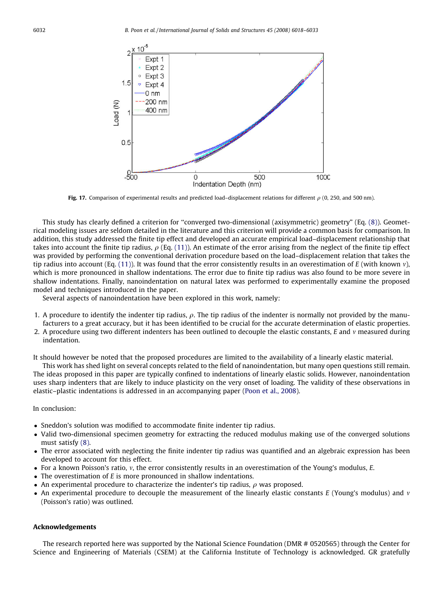<span id="page-14-0"></span>

Fig. 17. Comparison of experimental results and predicted load–displacement relations for different  $\rho$  (0, 250, and 500 nm).

This study has clearly defined a criterion for ''converged two-dimensional (axisymmetric) geometry" (Eq. [\(8\)\)](#page-5-0). Geometrical modeling issues are seldom detailed in the literature and this criterion will provide a common basis for comparison. In addition, this study addressed the finite tip effect and developed an accurate empirical load–displacement relationship that takes into account the finite tip radius,  $\rho$  (Eq. [\(11\)\)](#page-7-0). An estimate of the error arising from the neglect of the finite tip effect was provided by performing the conventional derivation procedure based on the load–displacement relation that takes the tip radius into account (Eq. [\(11\)](#page-7-0)). It was found that the error consistently results in an overestimation of E (with known  $y$ ). which is more pronounced in shallow indentations. The error due to finite tip radius was also found to be more severe in shallow indentations. Finally, nanoindentation on natural latex was performed to experimentally examine the proposed model and techniques introduced in the paper.

Several aspects of nanoindentation have been explored in this work, namely:

- 1. A procedure to identify the indenter tip radius,  $\rho$ . The tip radius of the indenter is normally not provided by the manufacturers to a great accuracy, but it has been identified to be crucial for the accurate determination of elastic properties.
- 2. A procedure using two different indenters has been outlined to decouple the elastic constants,  $E$  and  $\nu$  measured during indentation.

It should however be noted that the proposed procedures are limited to the availability of a linearly elastic material.

This work has shed light on several concepts related to the field of nanoindentation, but many open questions still remain. The ideas proposed in this paper are typically confined to indentations of linearly elastic solids. However, nanoindentation uses sharp indenters that are likely to induce plasticity on the very onset of loading. The validity of these observations in elastic–plastic indentations is addressed in an accompanying paper [\(Poon et al., 2008\)](#page-15-0).

## In conclusion:

- Sneddon's solution was modified to accommodate finite indenter tip radius.
- Valid two-dimensional specimen geometry for extracting the reduced modulus making use of the converged solutions must satisfy [\(8\)](#page-5-0).
- The error associated with neglecting the finite indenter tip radius was quantified and an algebraic expression has been developed to account for this effect.
- For a known Poisson's ratio,  $v$ , the error consistently results in an overestimation of the Young's modulus,  $E$ .
- The overestimation of E is more pronounced in shallow indentations.
- An experimental procedure to characterize the indenter's tip radius,  $\rho$  was proposed.
- An experimental procedure to decouple the measurement of the linearly elastic constants  $E$  (Young's modulus) and  $v$ (Poisson's ratio) was outlined.

#### Acknowledgements

The research reported here was supported by the National Science Foundation (DMR # 0520565) through the Center for Science and Engineering of Materials (CSEM) at the California Institute of Technology is acknowledged. GR gratefully